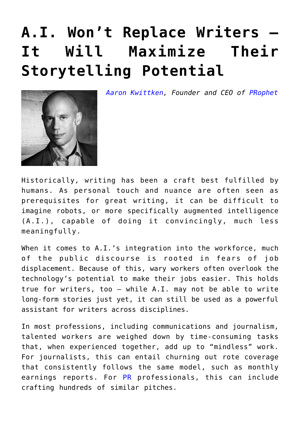## **[A.I. Won't Replace Writers —](https://www.commpro.biz/a-i-wont-replace-writers-it-will-maximize-their-storytelling-potential/) [It Will Maximize Their](https://www.commpro.biz/a-i-wont-replace-writers-it-will-maximize-their-storytelling-potential/) [Storytelling Potential](https://www.commpro.biz/a-i-wont-replace-writers-it-will-maximize-their-storytelling-potential/)**



*[Aaron Kwittken](https://www.linkedin.com/in/aaronkwittken/), Founder and CEO of [PRophet](https://www.prprophet.ai/)*

Historically, writing has been a craft best fulfilled by humans. As personal touch and nuance are often seen as prerequisites for great writing, it can be difficult to imagine robots, or more specifically augmented intelligence (A.I.), capable of doing it convincingly, much less meaningfully.

When it comes to A.I.'s integration into the workforce, much of the public discourse is rooted in fears of job displacement. Because of this, wary workers often overlook the technology's potential to make their jobs easier. This holds true for writers, too — while A.I. may not be able to write long-form stories just yet, it can still be used as a powerful assistant for writers across disciplines.

In most professions, including communications and journalism, talented workers are weighed down by time-consuming tasks that, when experienced together, add up to "mindless" work. For journalists, this can entail churning out rote coverage that consistently follows the same model, such as monthly earnings reports. For [PR](https://www.commpro.biz/comms-tech/) professionals, this can include crafting hundreds of similar pitches.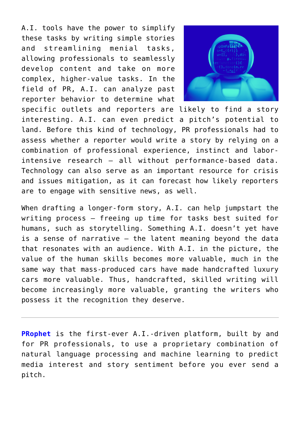A.I. tools have the power to simplify these tasks by writing simple stories and streamlining menial tasks, allowing professionals to seamlessly develop content and take on more complex, higher-value tasks. In the field of PR, A.I. can analyze past reporter behavior to determine what



specific outlets and reporters are likely to find a story interesting. A.I. can even predict a pitch's potential to land. Before this kind of technology, PR professionals had to assess whether a reporter would write a story by relying on a combination of professional experience, instinct and laborintensive research – all without performance-based data. Technology can also serve as an important resource for crisis and issues mitigation, as it can forecast how likely reporters are to engage with sensitive news, as well.

When drafting a longer-form story, A.I. can help jumpstart the writing process – freeing up time for tasks best suited for humans, such as storytelling. Something A.I. doesn't yet have is a sense of narrative – the latent meaning beyond the data that resonates with an audience. With A.I. in the picture, the value of the human skills becomes more valuable, much in the same way that mass-produced cars have made handcrafted luxury cars more valuable. Thus, handcrafted, skilled writing will become increasingly more valuable, granting the writers who possess it the recognition they deserve.

**[PRophet](https://www.prprophet.ai/)** is the first-ever A.I.-driven platform, built by and for PR professionals, to use a proprietary combination of natural language processing and machine learning to predict media interest and story sentiment before you ever send a pitch.